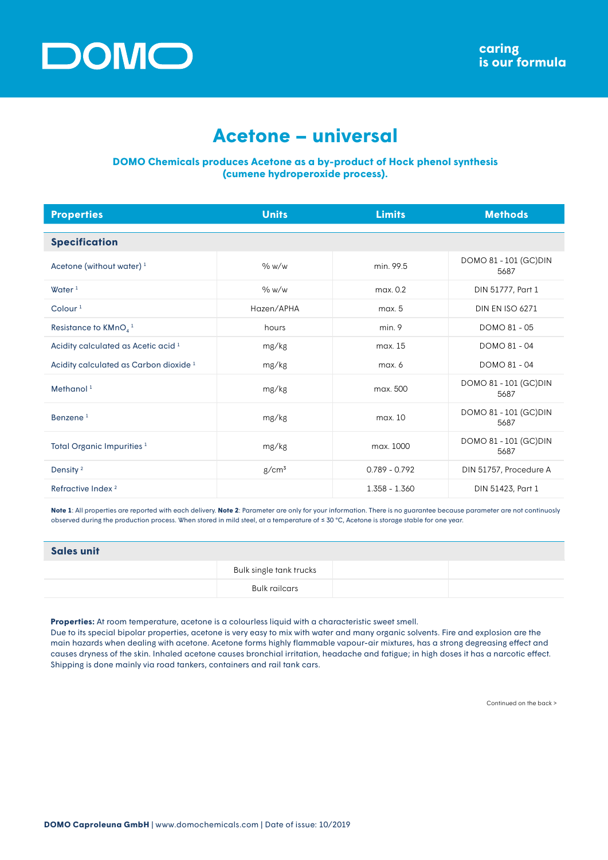

## **Acetone – universal**

## **DOMO Chemicals produces Acetone as a by-product of Hock phenol synthesis (cumene hydroperoxide process).**

| <b>Properties</b>                                 | <b>Units</b>      | <b>Limits</b>   | <b>Methods</b>                 |
|---------------------------------------------------|-------------------|-----------------|--------------------------------|
| <b>Specification</b>                              |                   |                 |                                |
| Acetone (without water) <sup>1</sup>              | % w/w             | min. 99.5       | DOMO 81 - 101 (GC) DIN<br>5687 |
| Water $1$                                         | % w/w             | max. 0.2        | DIN 51777, Part 1              |
| Colour $1$                                        | Hazen/APHA        | max. 5          | <b>DIN EN ISO 6271</b>         |
| Resistance to $KMnO4$ <sup>1</sup>                | hours             | min.9           | DOMO 81 - 05                   |
| Acidity calculated as Acetic acid <sup>1</sup>    | mg/kg             | max. 15         | DOMO 81 - 04                   |
| Acidity calculated as Carbon dioxide <sup>1</sup> | mg/kg             | max. 6          | DOMO 81 - 04                   |
| Methanol <sup>1</sup>                             | mg/kg             | max. 500        | DOMO 81 - 101 (GC) DIN<br>5687 |
| Benzene <sup>1</sup>                              | mg/kg             | max. 10         | DOMO 81 - 101 (GC) DIN<br>5687 |
| Total Organic Impurities <sup>1</sup>             | mg/kg             | max. 1000       | DOMO 81 - 101 (GC) DIN<br>5687 |
| Density <sup>2</sup>                              | g/cm <sup>3</sup> | $0.789 - 0.792$ | DIN 51757, Procedure A         |
| Refractive Index <sup>2</sup>                     |                   | 1.358 - 1.360   | DIN 51423, Part 1              |

**Note 1**: All properties are reported with each delivery. **Note 2**: Parameter are only for your information. There is no guarantee because parameter are not continuosly observed during the production process. When stored in mild steel, at a temperature of ≤ 30 °C, Acetone is storage stable for one year.

| <b>Sales unit</b> |                         |  |
|-------------------|-------------------------|--|
|                   | Bulk single tank trucks |  |
|                   | Bulk railcars           |  |

**Properties:** At room temperature, acetone is a colourless liquid with a characteristic sweet smell.

Due to its special bipolar properties, acetone is very easy to mix with water and many organic solvents. Fire and explosion are the main hazards when dealing with acetone. Acetone forms highly flammable vapour-air mixtures, has a strong degreasing effect and causes dryness of the skin. Inhaled acetone causes bronchial irritation, headache and fatigue; in high doses it has a narcotic effect. Shipping is done mainly via road tankers, containers and rail tank cars.

Continued on the back >